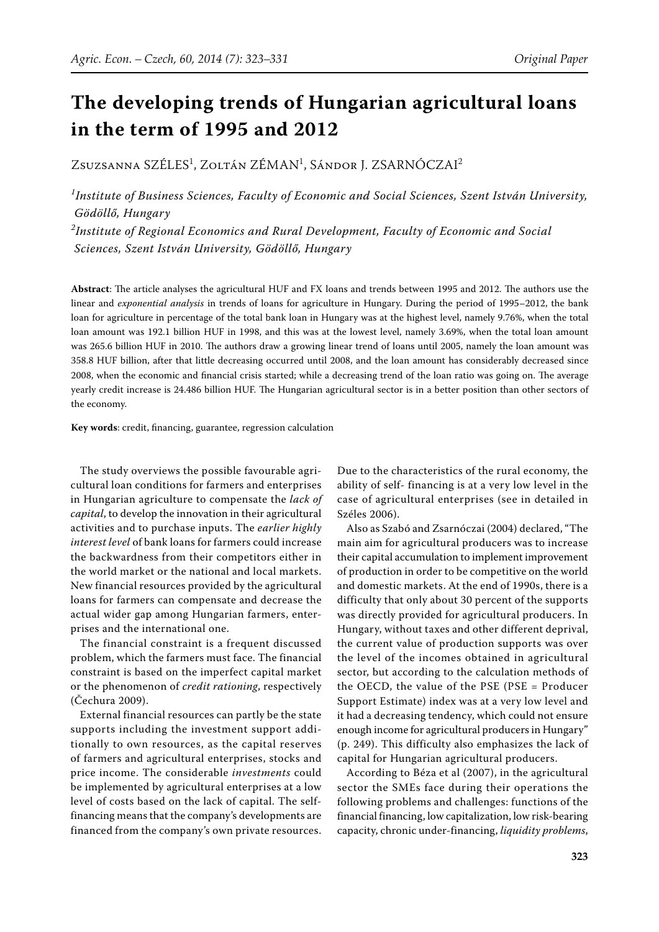# **The developing trends of Hungarian agricultural loans in the term of 1995 and 2012**

Zsuzsanna SZÉLES<sup>1</sup>, Zoltán ZÉMAN<sup>1</sup>, Sándor I, ZSARNÓCZAI<sup>2</sup>

*1 Institute of Business Sciences, Faculty of Economic and Social Sciences, Szent István University, Gödöllő, Hungary 2 Institute of Regional Economics and Rural Development, Faculty of Economic and Social Sciences, Szent István University, Gödöllő, Hungary*

Abstract: The article analyses the agricultural HUF and FX loans and trends between 1995 and 2012. The authors use the linear and *exponential analysis* in trends of loans for agriculture in Hungary. During the period of 1995–2012, the bank loan for agriculture in percentage of the total bank loan in Hungary was at the highest level, namely 9.76%, when the total loan amount was 192.1 billion HUF in 1998, and this was at the lowest level, namely 3.69%, when the total loan amount was 265.6 billion HUF in 2010. The authors draw a growing linear trend of loans until 2005, namely the loan amount was 358.8 HUF billion, after that little decreasing occurred until 2008, and the loan amount has considerably decreased since 2008, when the economic and financial crisis started; while a decreasing trend of the loan ratio was going on. The average yearly credit increase is 24.486 billion HUF. The Hungarian agricultural sector is in a better position than other sectors of the economy.

Key words: credit, financing, guarantee, regression calculation

The study overviews the possible favourable agricultural loan conditions for farmers and enterprises in Hungarian agriculture to compensate the *lack of capital*, to develop the innovation in their agricultural activities and to purchase inputs. The *earlier highly interest level* of bank loans for farmers could increase the backwardness from their competitors either in the world market or the national and local markets. New financial resources provided by the agricultural loans for farmers can compensate and decrease the actual wider gap among Hungarian farmers, enterprises and the international one.

The financial constraint is a frequent discussed problem, which the farmers must face. The financial constraint is based on the imperfect capital market or the phenomenon of *credit rationing*, respectively (Čechura 2009).

External financial resources can partly be the state supports including the investment support additionally to own resources, as the capital reserves of farmers and agricultural enterprises, stocks and price income. The considerable *investments* could be implemented by agricultural enterprises at a low level of costs based on the lack of capital. The selffinancing means that the company's developments are financed from the company's own private resources.

Due to the characteristics of the rural economy, the ability of self- financing is at a very low level in the case of agricultural enterprises (see in detailed in Széles 2006).

Also as Szabó and Zsarnóczai (2004) declared, "The main aim for agricultural producers was to increase their capital accumulation to implement improvement of production in order to be competitive on the world and domestic markets. At the end of 1990s, there is a difficulty that only about 30 percent of the supports was directly provided for agricultural producers. In Hungary, without taxes and other different deprival, the current value of production supports was over the level of the incomes obtained in agricultural sector, but according to the calculation methods of the OECD, the value of the PSE (PSE = Producer Support Estimate) index was at a very low level and it had a decreasing tendency, which could not ensure enough income for agricultural producers in Hungary" (p. 249). This difficulty also emphasizes the lack of capital for Hungarian agricultural producers.

According to Béza et al (2007), in the agricultural sector the SMEs face during their operations the following problems and challenges: functions of the financial financing, low capitalization, low risk-bearing capacity, chronic under-financing, *liquidity problems*,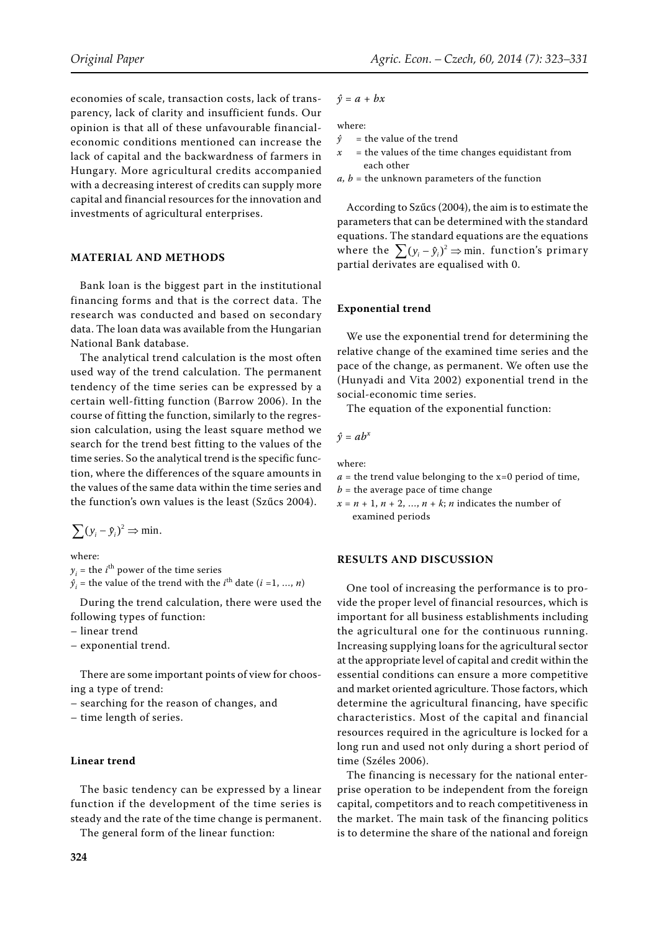economies of scale, transaction costs, lack of transparency, lack of clarity and insufficient funds. Our opinion is that all of these unfavourable financialeconomic conditions mentioned can increase the lack of capital and the backwardness of farmers in Hungary. More agricultural credits accompanied with a decreasing interest of credits can supply more capital and financial resources for the innovation and investments of agricultural enterprises.

#### **MATERIAL AND METHODS**

Bank loan is the biggest part in the institutional financing forms and that is the correct data. The research was conducted and based on secondary data. The loan data was available from the Hungarian National Bank database.

The analytical trend calculation is the most often used way of the trend calculation. The permanent tendency of the time series can be expressed by a certain well-fitting function (Barrow 2006). In the course of fitting the function, similarly to the regression calculation, using the least square method we search for the trend best fitting to the values of the time series. So the analytical trend is the specific function, where the differences of the square amounts in the values of the same data within the time series and the function's own values is the least (Szűcs 2004).

 $\sum (y_i - \hat{y}_i)^2 \Rightarrow \text{min.}$ 

where:

 $y_i$  = the *i*<sup>th</sup> power of the time series  $\hat{y}_i$  = the value of the trend with the *i*<sup>th</sup> date (*i* =1, ..., *n*)

During the trend calculation, there were used the following types of function:

- linear trend
- exponential trend.

There are some important points of view for choosing a type of trend:

- searching for the reason of changes, and
- time length of series.

# **Linear trend**

The basic tendency can be expressed by a linear function if the development of the time series is steady and the rate of the time change is permanent.

The general form of the linear function:

 $\hat{y} = a + bx$ 

where:

- $\hat{y}$  = the value of the trend<br> $x$  = the values of the time
	- = the values of the time changes equidistant from each other
- $a, b$  = the unknown parameters of the function

According to Szűcs (2004), the aim is to estimate the parameters that can be determined with the standard equations. The standard equations are the equations where the  $\sum (y_i - \hat{y}_i)^2 \Rightarrow \text{min.}$  function's primary partial derivates are equalised with 0.

#### **Exponential trend**

We use the exponential trend for determining the relative change of the examined time series and the pace of the change, as permanent. We often use the (Hunyadi and Vita 2002) exponential trend in the social-economic time series.

The equation of the exponential function:

$$
\hat{y} = ab^x
$$

where:

- $a =$  the trend value belonging to the x=0 period of time,
- $b =$  the average pace of time change

 $x = n + 1, n + 2, \ldots, n + k; n$  indicates the number of examined periods

### **RESULTS AND DISCUSSION**

One tool of increasing the performance is to provide the proper level of financial resources, which is important for all business establishments including the agricultural one for the continuous running. Increasing supplying loans for the agricultural sector at the appropriate level of capital and credit within the essential conditions can ensure a more competitive and market oriented agriculture. Those factors, which determine the agricultural financing, have specific characteristics. Most of the capital and financial resources required in the agriculture is locked for a long run and used not only during a short period of time (Széles 2006).

The financing is necessary for the national enterprise operation to be independent from the foreign capital, competitors and to reach competitiveness in the market. The main task of the financing politics is to determine the share of the national and foreign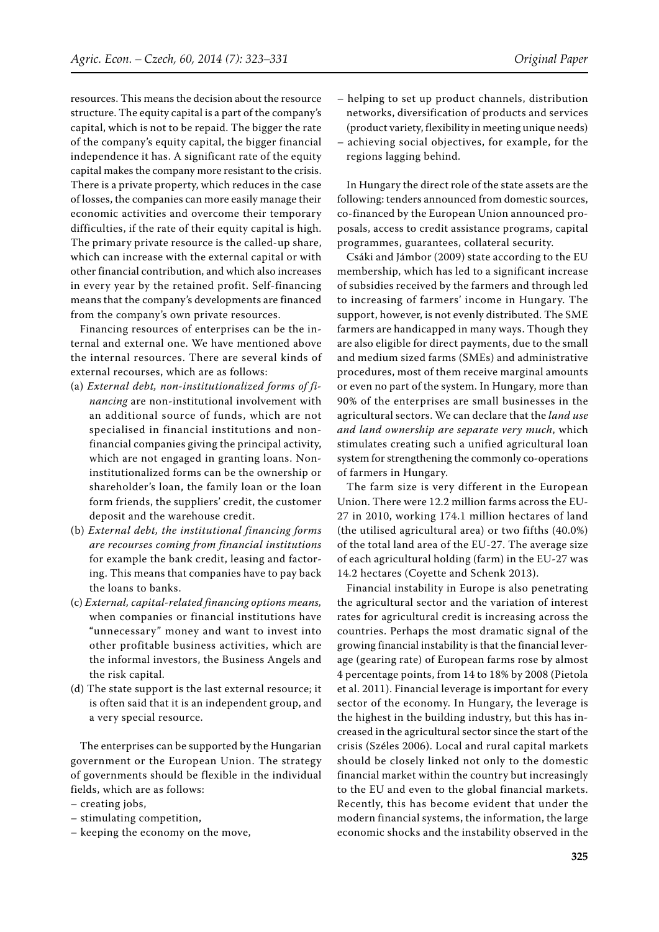resources. This means the decision about the resource structure. The equity capital is a part of the company's capital, which is not to be repaid. The bigger the rate

of the company's equity capital, the bigger financial independence it has. A significant rate of the equity capital makes the company more resistant to the crisis. There is a private property, which reduces in the case of losses, the companies can more easily manage their economic activities and overcome their temporary difficulties, if the rate of their equity capital is high. The primary private resource is the called-up share, which can increase with the external capital or with other financial contribution, and which also increases in every year by the retained profit. Self-financing means that the company's developments are financed from the company's own private resources.

Financing resources of enterprises can be the internal and external one. We have mentioned above the internal resources. There are several kinds of external recourses, which are as follows:

- (a) *External debt, non-institutionalized forms of financing* are non-institutional involvement with an additional source of funds, which are not specialised in financial institutions and nonfinancial companies giving the principal activity, which are not engaged in granting loans. Noninstitutionalized forms can be the ownership or shareholder's loan, the family loan or the loan form friends, the suppliers' credit, the customer deposit and the warehouse credit.
- (b) *External debt, the institutional financing forms are recourses coming from financial institutions* for example the bank credit, leasing and factoring. This means that companies have to pay back the loans to banks.
- (c) *External, capital-related financing options means,* when companies or financial institutions have "unnecessary" money and want to invest into other profitable business activities, which are the informal investors, the Business Angels and the risk capital.
- (d) The state support is the last external resource; it is often said that it is an independent group, and a very special resource.

The enterprises can be supported by the Hungarian government or the European Union. The strategy of governments should be flexible in the individual fields, which are as follows:

- creating jobs,
- stimulating competition,
- keeping the economy on the move,
- helping to set up product channels, distribution
	- networks, diversification of products and services (product variety, flexibility in meeting unique needs)
- achieving social objectives, for example, for the regions lagging behind.

In Hungary the direct role of the state assets are the following: tenders announced from domestic sources, co-financed by the European Union announced proposals, access to credit assistance programs, capital programmes, guarantees, collateral security.

Csáki and Jámbor (2009) state according to the EU membership, which has led to a significant increase of subsidies received by the farmers and through led to increasing of farmers' income in Hungary. The support, however, is not evenly distributed. The SME farmers are handicapped in many ways. Though they are also eligible for direct payments, due to the small and medium sized farms (SMEs) and administrative procedures, most of them receive marginal amounts or even no part of the system. In Hungary, more than 90% of the enterprises are small businesses in the agricultural sectors. We can declare that the *land use and land ownership are separate very much*, which stimulates creating such a unified agricultural loan system for strengthening the commonly co-operations of farmers in Hungary.

The farm size is very different in the European Union. There were 12.2 million farms across the EU-27 in 2010, working 174.1 million hectares of land (the utilised agricultural area) or two fifths (40.0%) of the total land area of the EU-27. The average size of each agricultural holding (farm) in the EU-27 was 14.2 hectares (Coyette and Schenk 2013).

Financial instability in Europe is also penetrating the agricultural sector and the variation of interest rates for agricultural credit is increasing across the countries. Perhaps the most dramatic signal of the growing financial instability is that the financial leverage (gearing rate) of European farms rose by almost 4 percentage points, from 14 to 18% by 2008 (Pietola et al. 2011). Financial leverage is important for every sector of the economy. In Hungary, the leverage is the highest in the building industry, but this has increased in the agricultural sector since the start of the crisis (Széles 2006). Local and rural capital markets should be closely linked not only to the domestic financial market within the country but increasingly to the EU and even to the global financial markets. Recently, this has become evident that under the modern financial systems, the information, the large economic shocks and the instability observed in the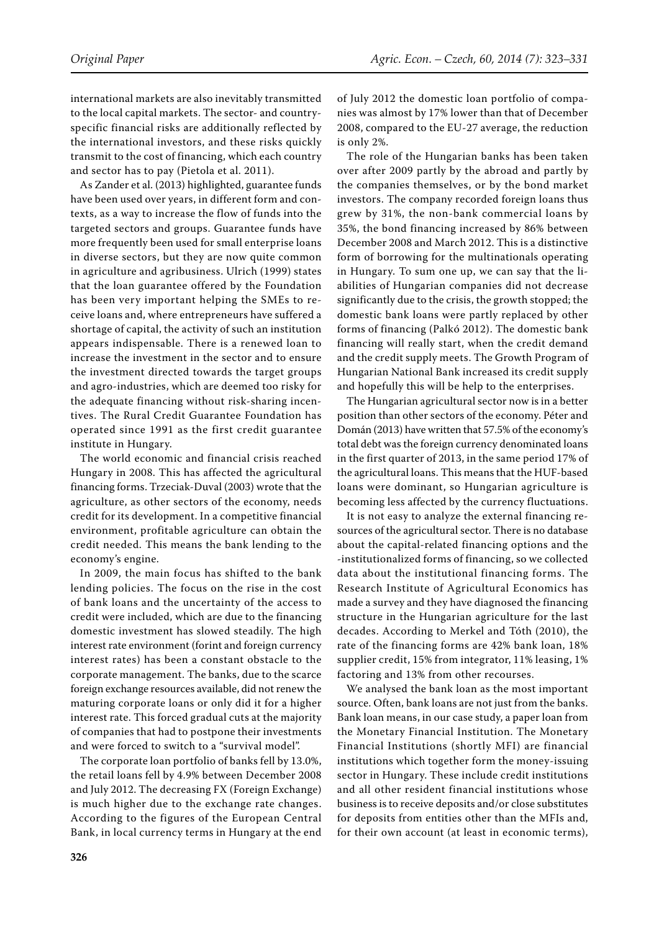international markets are also inevitably transmitted to the local capital markets. The sector- and countryspecific financial risks are additionally reflected by the international investors, and these risks quickly transmit to the cost of financing, which each country and sector has to pay (Pietola et al. 2011).

As Zander et al. (2013) highlighted, guarantee funds have been used over years, in different form and contexts, as a way to increase the flow of funds into the targeted sectors and groups. Guarantee funds have more frequently been used for small enterprise loans in diverse sectors, but they are now quite common in agriculture and agribusiness. Ulrich (1999) states that the loan guarantee offered by the Foundation has been very important helping the SMEs to receive loans and, where entrepreneurs have suffered a shortage of capital, the activity of such an institution appears indispensable. There is a renewed loan to increase the investment in the sector and to ensure the investment directed towards the target groups and agro-industries, which are deemed too risky for the adequate financing without risk-sharing incentives. The Rural Credit Guarantee Foundation has operated since 1991 as the first credit guarantee institute in Hungary.

The world economic and financial crisis reached Hungary in 2008. This has affected the agricultural financing forms. Trzeciak-Duval (2003) wrote that the agriculture, as other sectors of the economy, needs credit for its development. In a competitive financial environment, profitable agriculture can obtain the credit needed. This means the bank lending to the economy's engine.

In 2009, the main focus has shifted to the bank lending policies. The focus on the rise in the cost of bank loans and the uncertainty of the access to credit were included, which are due to the financing domestic investment has slowed steadily. The high interest rate environment (forint and foreign currency interest rates) has been a constant obstacle to the corporate management. The banks, due to the scarce foreign exchange resources available, did not renew the maturing corporate loans or only did it for a higher interest rate. This forced gradual cuts at the majority of companies that had to postpone their investments and were forced to switch to a "survival model".

The corporate loan portfolio of banks fell by 13.0%, the retail loans fell by 4.9% between December 2008 and July 2012. The decreasing FX (Foreign Exchange) is much higher due to the exchange rate changes. According to the figures of the European Central Bank, in local currency terms in Hungary at the end of July 2012 the domestic loan portfolio of companies was almost by 17% lower than that of December 2008, compared to the EU-27 average, the reduction is only 2%.

The role of the Hungarian banks has been taken over after 2009 partly by the abroad and partly by the companies themselves, or by the bond market investors. The company recorded foreign loans thus grew by 31%, the non-bank commercial loans by 35%, the bond financing increased by 86% between December 2008 and March 2012. This is a distinctive form of borrowing for the multinationals operating in Hungary. To sum one up, we can say that the liabilities of Hungarian companies did not decrease significantly due to the crisis, the growth stopped; the domestic bank loans were partly replaced by other forms of financing (Palkó 2012). The domestic bank financing will really start, when the credit demand and the credit supply meets. The Growth Program of Hungarian National Bank increased its credit supply and hopefully this will be help to the enterprises.

The Hungarian agricultural sector now is in a better position than other sectors of the economy. Péter and Domán (2013) have written that 57.5% of the economy's total debt was the foreign currency denominated loans in the first quarter of 2013, in the same period 17% of the agricultural loans. This means that the HUF-based loans were dominant, so Hungarian agriculture is becoming less affected by the currency fluctuations.

It is not easy to analyze the external financing resources of the agricultural sector. There is no database about the capital-related financing options and the -institutionalized forms of financing, so we collected data about the institutional financing forms. The Research Institute of Agricultural Economics has made a survey and they have diagnosed the financing structure in the Hungarian agriculture for the last decades. According to Merkel and Tóth (2010), the rate of the financing forms are 42% bank loan, 18% supplier credit, 15% from integrator, 11% leasing, 1% factoring and 13% from other recourses.

We analysed the bank loan as the most important source. Often, bank loans are not just from the banks. Bank loan means, in our case study, a paper loan from the Monetary Financial Institution. The Monetary Financial Institutions (shortly MFI) are financial institutions which together form the money-issuing sector in Hungary. These include credit institutions and all other resident financial institutions whose business is to receive deposits and/or close substitutes for deposits from entities other than the MFIs and, for their own account (at least in economic terms),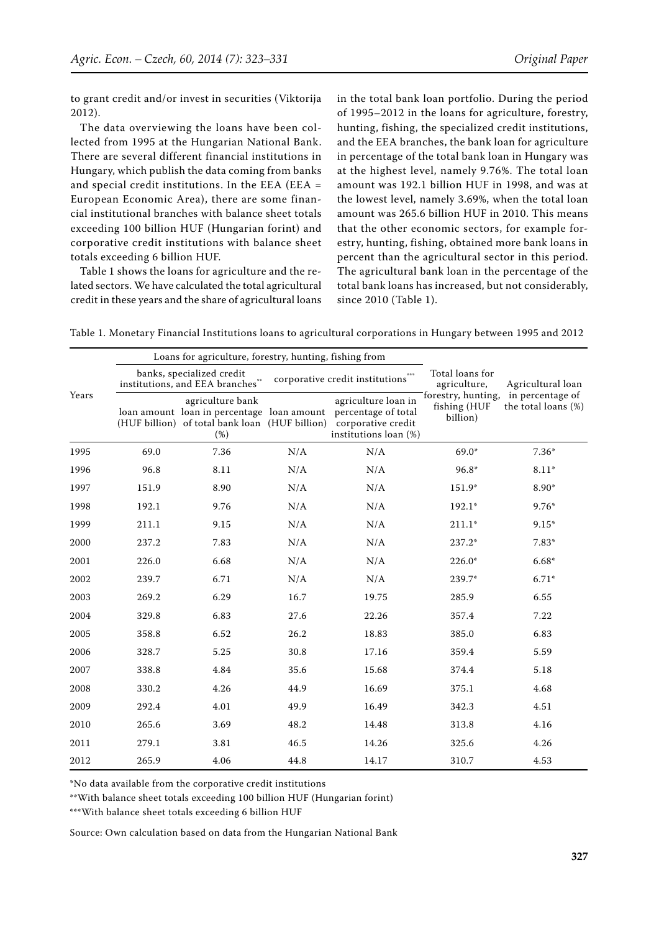to grant credit and/or invest in securities (Viktorija 2012).

The data overviewing the loans have been collected from 1995 at the Hungarian National Bank. There are several different financial institutions in Hungary, which publish the data coming from banks and special credit institutions. In the EEA (EEA = European Economic Area), there are some financial institutional branches with balance sheet totals exceeding 100 billion HUF (Hungarian forint) and corporative credit institutions with balance sheet totals exceeding 6 billion HUF.

Table 1 shows the loans for agriculture and the related sectors. We have calculated the total agricultural credit in these years and the share of agricultural loans in the total bank loan portfolio. During the period of 1995–2012 in the loans for agriculture, forestry, hunting, fishing, the specialized credit institutions, and the EEA branches, the bank loan for agriculture in percentage of the total bank loan in Hungary was at the highest level, namely 9.76%. The total loan amount was 192.1 billion HUF in 1998, and was at the lowest level, namely 3.69%, when the total loan amount was 265.6 billion HUF in 2010. This means that the other economic sectors, for example forestry, hunting, fishing, obtained more bank loans in percent than the agricultural sector in this period. The agricultural bank loan in the percentage of the total bank loans has increased, but not considerably, since 2010 (Table 1).

Table 1. Monetary Financial Institutions loans to agricultural corporations in Hungary between 1995 and 2012

| Years | Loans for agriculture, forestry, hunting, fishing from                                          |                                                                                                                         |      |                                                                                           | Total loans for<br>agriculture, | Agricultural loan                                          |
|-------|-------------------------------------------------------------------------------------------------|-------------------------------------------------------------------------------------------------------------------------|------|-------------------------------------------------------------------------------------------|---------------------------------|------------------------------------------------------------|
|       | banks, specialized credit<br>corporative credit institutions<br>institutions, and EEA branches" |                                                                                                                         |      |                                                                                           |                                 |                                                            |
|       |                                                                                                 | agriculture bank<br>loan amount loan in percentage loan amount<br>(HUF billion) of total bank loan (HUF billion)<br>(%) |      | agriculture loan in<br>percentage of total<br>corporative credit<br>institutions loan (%) | fishing (HUF<br>billion)        | forestry, hunting, in percentage of<br>the total loans (%) |
| 1995  | 69.0                                                                                            | 7.36                                                                                                                    | N/A  | N/A                                                                                       | $69.0*$                         | $7.36*$                                                    |
| 1996  | 96.8                                                                                            | 8.11                                                                                                                    | N/A  | N/A                                                                                       | 96.8*                           | $8.11*$                                                    |
| 1997  | 151.9                                                                                           | 8.90                                                                                                                    | N/A  | $\rm N/A$                                                                                 | 151.9*                          | 8.90*                                                      |
| 1998  | 192.1                                                                                           | 9.76                                                                                                                    | N/A  | $\rm N/A$                                                                                 | 192.1*                          | $9.76*$                                                    |
| 1999  | 211.1                                                                                           | 9.15                                                                                                                    | N/A  | N/A                                                                                       | $211.1*$                        | $9.15*$                                                    |
| 2000  | 237.2                                                                                           | 7.83                                                                                                                    | N/A  | N/A                                                                                       | 237.2*                          | $7.83*$                                                    |
| 2001  | 226.0                                                                                           | 6.68                                                                                                                    | N/A  | N/A                                                                                       | $226.0*$                        | $6.68*$                                                    |
| 2002  | 239.7                                                                                           | 6.71                                                                                                                    | N/A  | N/A                                                                                       | 239.7*                          | $6.71*$                                                    |
| 2003  | 269.2                                                                                           | 6.29                                                                                                                    | 16.7 | 19.75                                                                                     | 285.9                           | 6.55                                                       |
| 2004  | 329.8                                                                                           | 6.83                                                                                                                    | 27.6 | 22.26                                                                                     | 357.4                           | 7.22                                                       |
| 2005  | 358.8                                                                                           | 6.52                                                                                                                    | 26.2 | 18.83                                                                                     | 385.0                           | 6.83                                                       |
| 2006  | 328.7                                                                                           | 5.25                                                                                                                    | 30.8 | 17.16                                                                                     | 359.4                           | 5.59                                                       |
| 2007  | 338.8                                                                                           | 4.84                                                                                                                    | 35.6 | 15.68                                                                                     | 374.4                           | 5.18                                                       |
| 2008  | 330.2                                                                                           | 4.26                                                                                                                    | 44.9 | 16.69                                                                                     | 375.1                           | 4.68                                                       |
| 2009  | 292.4                                                                                           | 4.01                                                                                                                    | 49.9 | 16.49                                                                                     | 342.3                           | 4.51                                                       |
| 2010  | 265.6                                                                                           | 3.69                                                                                                                    | 48.2 | 14.48                                                                                     | 313.8                           | 4.16                                                       |
| 2011  | 279.1                                                                                           | 3.81                                                                                                                    | 46.5 | 14.26                                                                                     | 325.6                           | 4.26                                                       |
| 2012  | 265.9                                                                                           | 4.06                                                                                                                    | 44.8 | 14.17                                                                                     | 310.7                           | 4.53                                                       |

\*No data available from the corporative credit institutions

\*\*With balance sheet totals exceeding 100 billion HUF (Hungarian forint)

\*\*\*With balance sheet totals exceeding 6 billion HUF

Source: Own calculation based on data from the Hungarian National Bank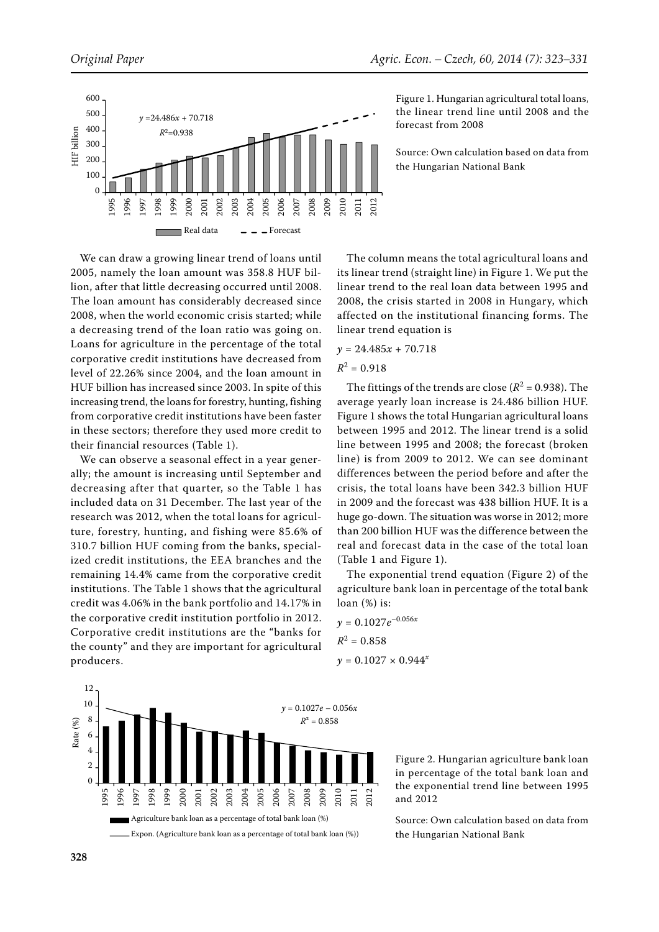



Figure 1. Hungarian agricultural total loans, the linear trend line until 2008 and the forecast from 2008

Source: Own calculation based on data from the Hungarian National Bank

We can draw a growing linear trend of loans until 2005, namely the loan amount was 358.8 HUF billion, after that little decreasing occurred until 2008. The loan amount has considerably decreased since 2008, when the world economic crisis started; while a decreasing trend of the loan ratio was going on. Loans for agriculture in the percentage of the total corporative credit institutions have decreased from level of 22.26% since 2004, and the loan amount in HUF billion has increased since 2003. In spite of this increasing trend, the loans for forestry, hunting, fishing from corporative credit institutions have been faster in these sectors; therefore they used more credit to their financial resources (Table 1).

We can observe a seasonal effect in a year generally; the amount is increasing until September and decreasing after that quarter, so the Table 1 has included data on 31 December. The last year of the research was 2012, when the total loans for agriculture, forestry, hunting, and fishing were 85.6% of 310.7 billion HUF coming from the banks, specialized credit institutions, the EEA branches and the remaining 14.4% came from the corporative credit institutions. The Table 1 shows that the agricultural credit was 4.06% in the bank portfolio and 14.17% in the corporative credit institution portfolio in 2012. Corporative credit institutions are the "banks for the county" and they are important for agricultural producers.

The column means the total agricultural loans and its linear trend (straight line) in Figure 1. We put the linear trend to the real loan data between 1995 and 2008, the crisis started in 2008 in Hungary, which affected on the institutional financing forms. The linear trend equation is

$$
y = 24.485x + 70.718
$$

$$
R^2=0.918
$$

The fittings of the trends are close ( $R^2$  = 0.938). The average yearly loan increase is 24.486 billion HUF. Figure 1 shows the total Hungarian agricultural loans between 1995 and 2012. The linear trend is a solid line between 1995 and 2008; the forecast (broken line) is from 2009 to 2012. We can see dominant differences between the period before and after the crisis, the total loans have been 342.3 billion HUF in 2009 and the forecast was 438 billion HUF. It is a huge go-down. The situation was worse in 2012; more than 200 billion HUF was the difference between the real and forecast data in the case of the total loan (Table 1 and Figure 1).

The exponential trend equation (Figure 2) of the agriculture bank loan in percentage of the total bank loan (%) is:

 $y = 0.1027e^{-0.056x}$  $R^2 = 0.858$  $y = 0.1027 \times 0.944^x$ 



Figure 2. Hungarian agriculture bank loan in percentage of the total bank loan and the exponential trend line between 1995 and 2012

Source: Own calculation based on data from the Hungarian National Bank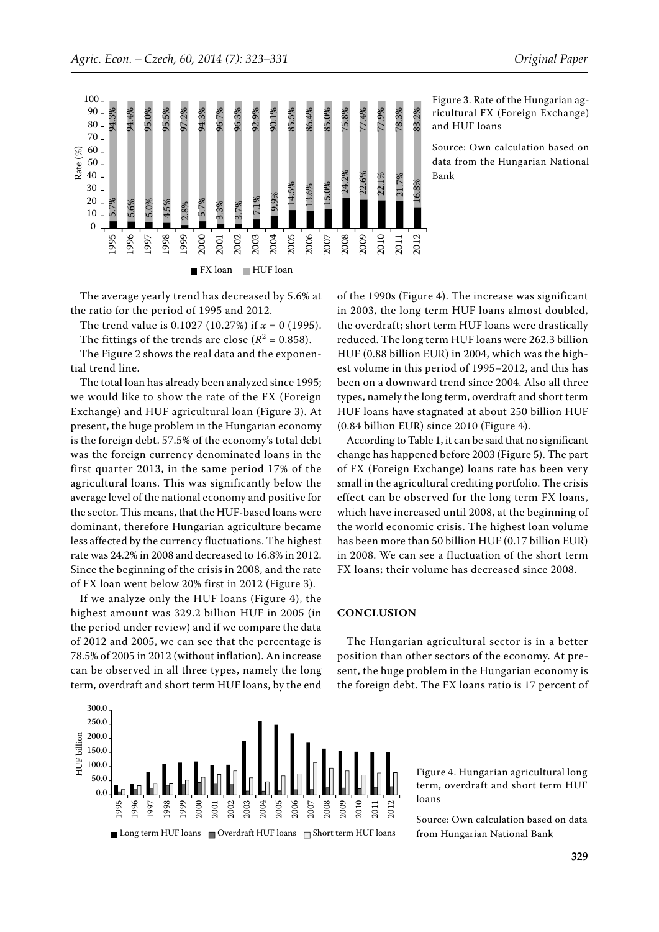

5.7% 5.6% 5.0% 4.5% 2.8% 5.7% 3.3% 3.7% 7.1% 9.9% 14.5% 13.6% 15.0% 24.2% 22.6% 22.1% 21.7% 16.8% 94.3% 94.4% 95.0% 95.5% 97.2% 94.3% 96.7% 96.3% 92.9% 90.1% 85.5% 86.4% 85.0% 75.8% 77.4% 77.9% 78.3% 83.2%  $\theta$ 10 20 30 40 50 60 70 80 90 100 1995 1996 1997 1998 1999 2000 2001 2002 2003 2004 2005 2006 2007 2008 2009 2010 2011 2012 **FX** loan HUF loan Rate (%)

The average yearly trend has decreased by 5.6% at the ratio for the period of 1995 and 2012.

The trend value is 0.1027 (10.27%) if *x* = 0 (1995). The fittings of the trends are close  $(R^2 = 0.858)$ .

The Figure 2 shows the real data and the exponential trend line.

The total loan has already been analyzed since 1995; we would like to show the rate of the FX (Foreign Exchange) and HUF agricultural loan (Figure 3). At present, the huge problem in the Hungarian economy is the foreign debt. 57.5% of the economy's total debt was the foreign currency denominated loans in the first quarter 2013, in the same period 17% of the agricultural loans. This was significantly below the average level of the national economy and positive for the sector. This means, that the HUF-based loans were dominant, therefore Hungarian agriculture became less affected by the currency fluctuations. The highest rate was 24.2% in 2008 and decreased to 16.8% in 2012. Since the beginning of the crisis in 2008, and the rate of FX loan went below 20% first in 2012 (Figure 3).

If we analyze only the HUF loans (Figure 4), the highest amount was 329.2 billion HUF in 2005 (in the period under review) and if we compare the data of 2012 and 2005, we can see that the percentage is 78.5% of 2005 in 2012 (without inflation). An increase can be observed in all three types, namely the long term, overdraft and short term HUF loans, by the end



Figure 3. Rate of the Hungarian agricultural FX (Foreign Exchange) and HUF loans

Source: Own calculation based on data from the Hungarian National Bank

of the 1990s (Figure 4). The increase was significant in 2003, the long term HUF loans almost doubled, the overdraft; short term HUF loans were drastically reduced. The long term HUF loans were 262.3 billion HUF (0.88 billion EUR) in 2004, which was the highest volume in this period of 1995–2012, and this has been on a downward trend since 2004. Also all three types, namely the long term, overdraft and short term HUF loans have stagnated at about 250 billion HUF (0.84 billion EUR) since 2010 (Figure 4).

According to Table 1, it can be said that no significant change has happened before 2003 (Figure 5). The part of FX (Foreign Exchange) loans rate has been very small in the agricultural crediting portfolio. The crisis effect can be observed for the long term FX loans, which have increased until 2008, at the beginning of the world economic crisis. The highest loan volume has been more than 50 billion HUF (0.17 billion EUR) in 2008. We can see a fluctuation of the short term FX loans; their volume has decreased since 2008.

# **CONCLUSION**

The Hungarian agricultural sector is in a better position than other sectors of the economy. At present, the huge problem in the Hungarian economy is the foreign debt. The FX loans ratio is 17 percent of

> Figure 4. Hungarian agricultural long term, overdraft and short term HUF loans

> Source: Own calculation based on data from Hungarian National Bank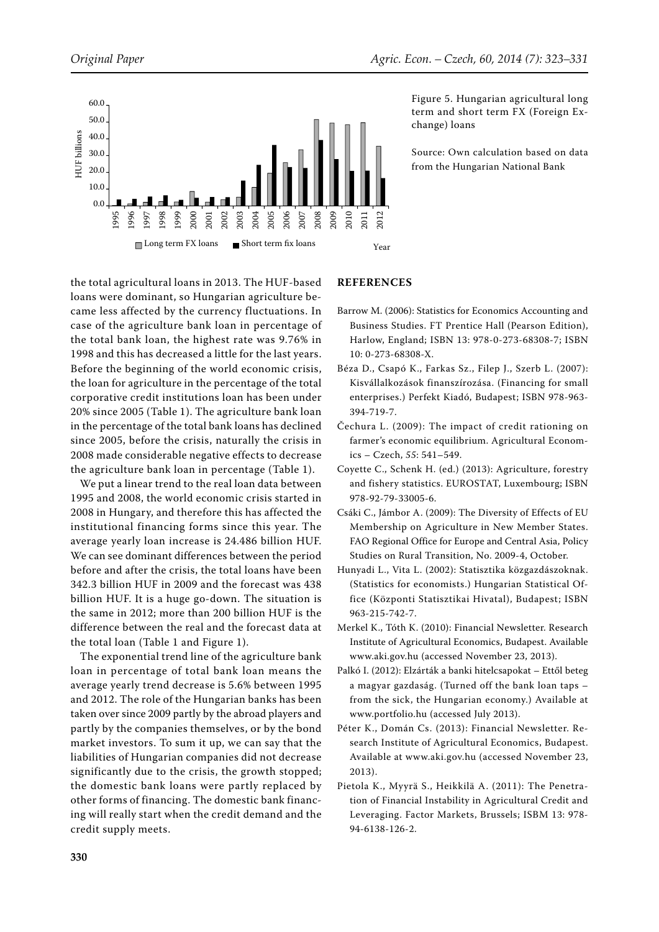

Figure 5. Hungarian agricultural long term and short term FX (Foreign Exchange) loans

Source: Own calculation based on data from the Hungarian National Bank

the total agricultural loans in 2013. The HUF-based loans were dominant, so Hungarian agriculture became less affected by the currency fluctuations. In case of the agriculture bank loan in percentage of the total bank loan, the highest rate was 9.76% in 1998 and this has decreased a little for the last years. Before the beginning of the world economic crisis, the loan for agriculture in the percentage of the total corporative credit institutions loan has been under 20% since 2005 (Table 1). The agriculture bank loan in the percentage of the total bank loans has declined since 2005, before the crisis, naturally the crisis in 2008 made considerable negative effects to decrease the agriculture bank loan in percentage (Table 1).

We put a linear trend to the real loan data between 1995 and 2008, the world economic crisis started in 2008 in Hungary, and therefore this has affected the institutional financing forms since this year. The average yearly loan increase is 24.486 billion HUF. We can see dominant differences between the period before and after the crisis, the total loans have been 342.3 billion HUF in 2009 and the forecast was 438 billion HUF. It is a huge go-down. The situation is the same in 2012; more than 200 billion HUF is the difference between the real and the forecast data at the total loan (Table 1 and Figure 1).

The exponential trend line of the agriculture bank loan in percentage of total bank loan means the average yearly trend decrease is 5.6% between 1995 and 2012. The role of the Hungarian banks has been taken over since 2009 partly by the abroad players and partly by the companies themselves, or by the bond market investors. To sum it up, we can say that the liabilities of Hungarian companies did not decrease significantly due to the crisis, the growth stopped; the domestic bank loans were partly replaced by other forms of financing. The domestic bank financing will really start when the credit demand and the credit supply meets.

# **REFERENCES**

- Barrow M. (2006): Statistics for Economics Accounting and Business Studies. FT Prentice Hall (Pearson Edition), Harlow, England; ISBN 13: 978-0-273-68308-7; ISBN 10: 0-273-68308-X.
- Béza D., Csapó K., Farkas Sz., Filep J., Szerb L. (2007): Kisvállalkozások finanszírozása. (Financing for small enterprises.) Perfekt Kiadó, Budapest; ISBN 978-963- 394-719-7.
- Čechura L. (2009): The impact of credit rationing on farmer's economic equilibrium. Agricultural Economics – Czech, *55*: 541–549.
- Coyette C., Schenk H. (ed.) (2013): Agriculture, forestry and fishery statistics. EUROSTAT, Luxembourg; ISBN 978-92-79-33005-6.
- Csáki C., Jámbor A. (2009): The Diversity of Effects of EU Membership on Agriculture in New Member States. FAO Regional Office for Europe and Central Asia, Policy Studies on Rural Transition, No. 2009-4, October.
- Hunyadi L., Vita L. (2002): Statisztika közgazdászoknak. (Statistics for economists.) Hungarian Statistical Office (Központi Statisztikai Hivatal), Budapest; ISBN 963-215-742-7.
- Merkel K., Tóth K. (2010): Financial Newsletter. Research Institute of Agricultural Economics, Budapest. Available www.aki.gov.hu (accessed November 23, 2013).
- Palkó I. (2012): Elzárták a banki hitelcsapokat Ettől beteg a magyar gazdaság. (Turned off the bank loan taps – from the sick, the Hungarian economy.) Available at www.portfolio.hu (accessed July 2013).
- Péter K., Domán Cs. (2013): Financial Newsletter. Research Institute of Agricultural Economics, Budapest. Available at www.aki.gov.hu (accessed November 23, 2013).
- Pietola K., Myyrä S., Heikkilä A. (2011): The Penetration of Financial Instability in Agricultural Credit and Leveraging. Factor Markets, Brussels; ISBM 13: 978- 94-6138-126-2.